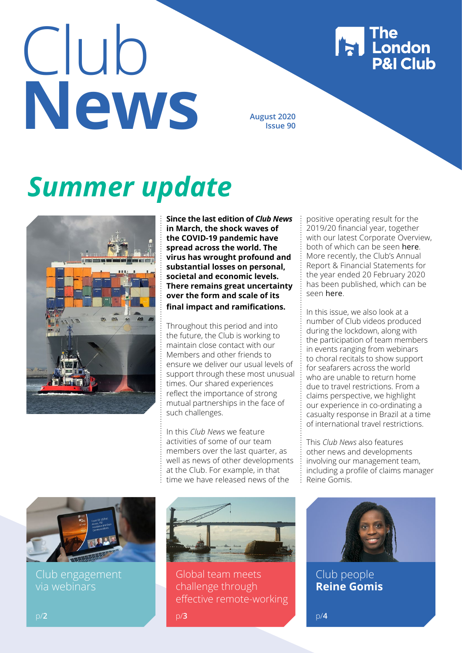# Club **New York August 2020**

**Issue 90**

# *Summer update*



**Since the last edition of** *Club News* **in March, the shock waves of the COVID-19 pandemic have spread across the world. The virus has wrought profound and substantial losses on personal, societal and economic levels. There remains great uncertainty over the form and scale of its final impact and ramifications.** 

Throughout this period and into the future, the Club is working to maintain close contact with our Members and other friends to ensure we deliver our usual levels of support through these most unusual times. Our shared experiences reflect the importance of strong mutual partnerships in the face of such challenges.

In this *Club News* we feature activities of some of our team members over the last quarter, as well as news of other developments at the Club. For example, in that time we have released news of the

positive operating result for the 2019/20 financial year, together with our latest Corporate Overview, both of which can be seen [here](https://www.londonpandi.com/documents/london-pi-overview-2020-web-final-with-committee-amends/). More recently, the Club's Annual Report & Financial Statements for the year ended 20 February 2020 has been published, which can be seen [here](https://www.londonpandi.com/Media/2639/london-pi-annual-report-financials-2020-final-after-proof-check.pdf).

**The London<br>P&I Club** 

In this issue, we also look at a number of Club videos produced during the lockdown, along with the participation of team members in events ranging from webinars to choral recitals to show support for seafarers across the world who are unable to return home due to travel restrictions. From a claims perspective, we highlight our experience in co-ordinating a casualty response in Brazil at a time of international travel restrictions.

This *Club News* also features other news and developments involving our management team, including a profile of claims manager Reine Gomis.



Club engagement via webinars



Global team meets challenge through effective remote-working

p/**3** p/**4**



Club people **Reine Gomis**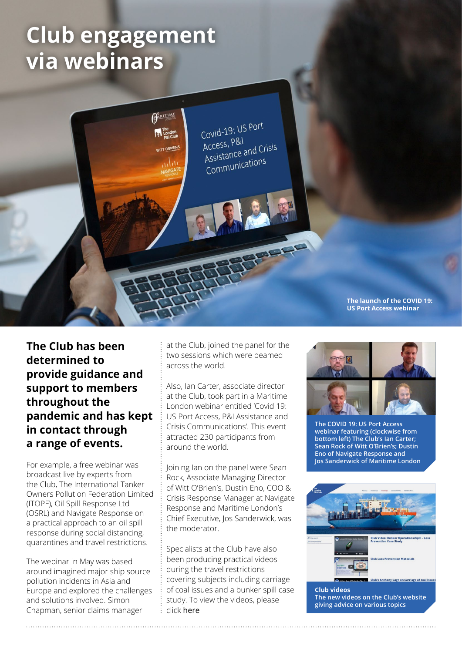# **Club engagement via webinars**



**The Club has been determined to provide guidance and support to members throughout the pandemic and has kept in contact through a range of events.** 

For example, a free webinar was broadcast live by experts from the Club, The International Tanker Owners Pollution Federation Limited (ITOPF), Oil Spill Response Ltd (OSRL) and Navigate Response on a practical approach to an oil spill response during social distancing, quarantines and travel restrictions.

The webinar in May was based around imagined major ship source pollution incidents in Asia and Europe and explored the challenges and solutions involved. Simon Chapman, senior claims manager

at the Club, joined the panel for the two sessions which were beamed across the world.

Also, Ian Carter, associate director at the Club, took part in a Maritime London webinar entitled 'Covid 19: US Port Access, P&I Assistance and Crisis Communications'. This event attracted 230 participants from around the world.

Joining Ian on the panel were Sean Rock, Associate Managing Director of Witt O'Brien's, Dustin Eno, COO & Crisis Response Manager at Navigate Response and Maritime London's Chief Executive, Jos Sanderwick, was the moderator.

Specialists at the Club have also been producing practical videos during the travel restrictions covering subjects including carriage of coal issues and a bunker spill case study. To view the videos, please click [here](https://www.londonpandi.com/knowledge/videos-from-the-london-pi-club/)



**The COVID 19: US Port Access webinar featuring (clockwise from bottom left) The Club's Ian Carter; Sean Rock of Witt O'Brien's; Dustin Eno of Navigate Response and Jos Sanderwick of Maritime London**



**Club videos The new videos on the Club's website giving advice on various topics**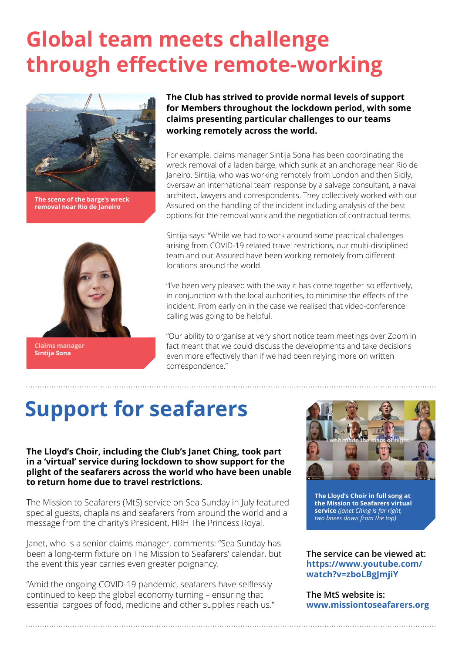## **Global team meets challenge through effective remote-working**



**The scene of the barge's wreck removal near Rio de Janeiro** 



**Claims manager Sintija Sona**

**The Club has strived to provide normal levels of support for Members throughout the lockdown period, with some claims presenting particular challenges to our teams working remotely across the world.**

For example, claims manager Sintija Sona has been coordinating the wreck removal of a laden barge, which sunk at an anchorage near Rio de Janeiro. Sintija, who was working remotely from London and then Sicily, oversaw an international team response by a salvage consultant, a naval architect, lawyers and correspondents. They collectively worked with our Assured on the handling of the incident including analysis of the best options for the removal work and the negotiation of contractual terms.

Sintija says: "While we had to work around some practical challenges arising from COVID-19 related travel restrictions, our multi-disciplined team and our Assured have been working remotely from different locations around the world.

"I've been very pleased with the way it has come together so effectively, in conjunction with the local authorities, to minimise the effects of the incident. From early on in the case we realised that video-conference calling was going to be helpful.

"Our ability to organise at very short notice team meetings over Zoom in fact meant that we could discuss the developments and take decisions even more effectively than if we had been relying more on written correspondence."

# **Support for seafarers**

**The Lloyd's Choir, including the Club's Janet Ching, took part in a 'virtual' service during lockdown to show support for the plight of the seafarers across the world who have been unable to return home due to travel restrictions.**

The Mission to Seafarers (MtS) service on Sea Sunday in July featured special guests, chaplains and seafarers from around the world and a message from the charity's President, HRH The Princess Royal.

Janet, who is a senior claims manager, comments: "Sea Sunday has been a long-term fixture on The Mission to Seafarers' calendar, but the event this year carries even greater poignancy.

"Amid the ongoing COVID-19 pandemic, seafarers have selflessly continued to keep the global economy turning – ensuring that essential cargoes of food, medicine and other supplies reach us."



**The Lloyd's Choir in full song at the Mission to Seafarers virtual service** *(Janet Ching is far right, two boxes down from the top)*

**The service can be viewed at: [https://www.youtube.com/](https://www.youtube.com/watch?v=zboLBgJmjiY) [watch?v=zboLBgJmjiY](https://www.youtube.com/watch?v=zboLBgJmjiY)**

**The MtS website is: [www.missiontoseafarers.org](http://www.missiontoseafarers.org)**